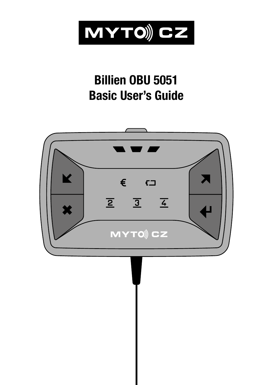

## **Billien OBU 5051 Basic User's Guide**

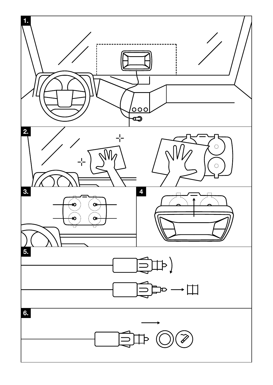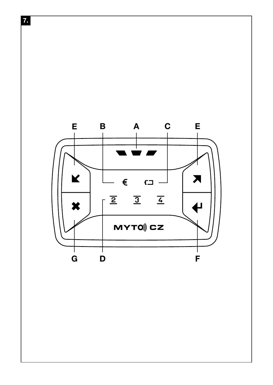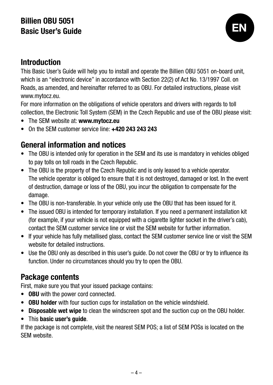# Billien OBU 5051<br>Basic User's Guide



#### Introduction

This Basic User's Guide will help you to install and operate the Billien OBU 5051 on-board unit, which is an "electronic device" in accordance with Section 22(2) of Act No. 13/1997 Coll. on Roads, as amended, and hereinafter referred to as OBU. For detailed instructions, please visit www.mytocz.eu.

For more information on the obligations of vehicle operators and drivers with regards to toll collection, the Electronic Toll System (SEM) in the Czech Republic and use of the OBU please visit:

- The SEM website at: www.mytocz.eu
- On the SEM customer service line: +420 243 243 243

#### General information and notices

- The OBU is intended only for operation in the SEM and its use is mandatory in vehicles obliged to pay tolls on toll roads in the Czech Republic.
- The OBU is the property of the Czech Republic and is only leased to a vehicle operator. The vehicle operator is obliged to ensure that it is not destroyed, damaged or lost. In the event of destruction, damage or loss of the OBU, you incur the obligation to compensate for the damage.
- The OBU is non-transferable. In your vehicle only use the OBU that has been issued for it.
- The issued OBU is intended for temporary installation. If you need a permanent installation kit (for example, if your vehicle is not equipped with a cigarette lighter socket in the driver's cab), contact the SEM customer service line or visit the SEM website for further information.
- If your vehicle has fully metallised glass, contact the SEM customer service line or visit the SEM website for detailed instructions.
- Use the OBU only as described in this user's guide. Do not cover the OBU or try to influence its function. Under no circumstances should you try to open the OBU.

#### Package contents

First, make sure you that your issued package contains:

- OBU with the power cord connected.
- OBU holder with four suction cups for installation on the vehicle windshield.
- Disposable wet wipe to clean the windscreen spot and the suction cup on the OBU holder.
- This basic user's guide.

If the package is not complete, visit the nearest SEM POS; a list of SEM POSs is located on the SEM website.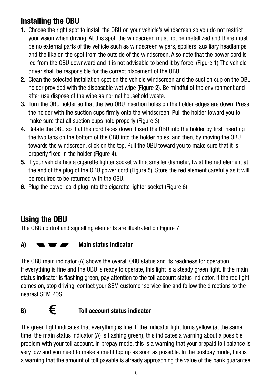#### Installing the OBU

- 1. Choose the right spot to install the OBU on your vehicle's windscreen so you do not restrict your vision when driving. At this spot, the windscreen must not be metallized and there must be no external parts of the vehicle such as windscreen wipers, spoilers, auxiliary headlamps and the like on the spot from the outside of the windscreen. Also note that the power cord is led from the OBU downward and it is not advisable to bend it by force. (Figure 1) The vehicle driver shall be responsible for the correct placement of the OBU.
- 2. Clean the selected installation spot on the vehicle windscreen and the suction cup on the OBU holder provided with the disposable wet wipe (Figure 2). Be mindful of the environment and after use dispose of the wipe as normal household waste.
- 3. Turn the OBU holder so that the two OBU insertion holes on the holder edges are down. Press the holder with the suction cups firmly onto the windscreen. Pull the holder toward you to make sure that all suction cups hold properly (Figure 3).
- 4. Rotate the OBU so that the cord faces down. Insert the OBU into the holder by first inserting the two tabs on the bottom of the OBU into the holder holes, and then, by moving the OBU towards the windscreen, click on the top. Pull the OBU toward you to make sure that it is properly fixed in the holder (Figure 4).
- 5. If your vehicle has a cigarette lighter socket with a smaller diameter, twist the red element at the end of the plug of the OBU power cord (Figure 5). Store the red element carefully as it will be required to be returned with the OBU.
- 6. Plug the power cord plug into the cigarette lighter socket (Figure 6).

#### Using the OBU

The OBU control and signalling elements are illustrated on Figure 7.

#### $A)$  **We are Main status indicator**

The OBU main indicator (A) shows the overall OBU status and its readiness for operation. If everything is fine and the OBU is ready to operate, this light is a steady green light. If the main status indicator is flashing green, pay attention to the toll account status indicator. If the red light comes on, stop driving, contact your SEM customer service line and follow the directions to the nearest SEM POS.

#### $\mathbf{B}$  **E** Toll account status indicator

The green light indicates that everything is fine. If the indicator light turns yellow (at the same time, the main status indicator (A) is flashing green), this indicates a warning about a possible problem with your toll account. In prepay mode, this is a warning that your prepaid toll balance is very low and you need to make a credit top up as soon as possible. In the postpay mode, this is a warning that the amount of toll payable is already approaching the value of the bank guarantee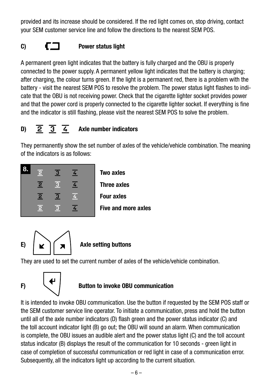provided and its increase should be considered. If the red light comes on, stop driving, contact your SEM customer service line and follow the directions to the nearest SEM POS.

#### C)  $\Box$  Power status light

A permanent green light indicates that the battery is fully charged and the OBU is properly connected to the power supply. A permanent yellow light indicates that the battery is charging; after charging, the colour turns green. If the light is a permanent red, there is a problem with the battery - visit the nearest SEM POS to resolve the problem. The power status light flashes to indicate that the OBU is not receiving power. Check that the cigarette lighter socket provides power and that the power cord is properly connected to the cigarette lighter socket. If everything is fine and the indicator is still flashing, please visit the nearest SEM POS to solve the problem.

#### D)  $\overline{2}$   $\overline{3}$   $\overline{4}$  Axle number indicators

They permanently show the set number of axles of the vehicle/vehicle combination. The meaning of the indicators is as follows:





They are used to set the current number of axles of the vehicle/vehicle combination.



#### $F$   $\left\{ \begin{array}{c} \leftarrow \\ \leftarrow \end{array} \right\}$  Button to invoke OBU communication

It is intended to invoke OBU communication. Use the button if requested by the SEM POS staff or the SEM customer service line operator. To initiate a communication, press and hold the button until all of the axle number indicators (D) flash green and the power status indicator (C) and the toll account indicator light (B) go out; the OBU will sound an alarm. When communication is complete, the OBU issues an audible alert and the power status light (C) and the toll account status indicator (B) displays the result of the communication for 10 seconds - green light in case of completion of successful communication or red light in case of a communication error. Subsequently, all the indicators light up according to the current situation.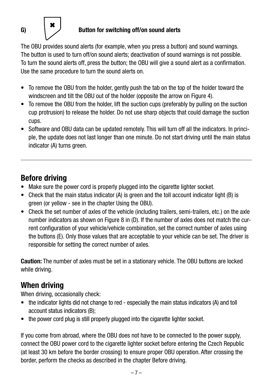

#### G)  $\begin{pmatrix} 0 \\ 1 \end{pmatrix}$  Button for switching off/on sound alerts

The OBU provides sound alerts (for example, when you press a button) and sound warnings. The button is used to turn off/on sound alerts; deactivation of sound warnings is not possible. To turn the sound alerts off, press the button; the OBU will give a sound alert as a confirmation. Use the same procedure to turn the sound alerts on.

- To remove the OBU from the holder, gently push the tab on the top of the holder toward the windscreen and tilt the OBU out of the holder (opposite the arrow on Figure 4).
- To remove the OBU from the holder, lift the suction cups (preferably by pulling on the suction cup protrusion) to release the holder. Do not use sharp objects that could damage the suction cups.
- Software and OBU data can be updated remotely. This will turn off all the indicators. In principle, the update does not last longer than one minute. Do not start driving until the main status indicator (A) turns green.

### Before driving

- Make sure the power cord is properly plugged into the cigarette lighter socket.
- Check that the main status indicator (A) is green and the toll account indicator light (B) is green (or yellow - see in the chapter Using the OBU).
- Check the set number of axles of the vehicle (including trailers, semi-trailers, etc.) on the axle number indicators as shown on Figure 8 in (D). If the number of axles does not match the current configuration of your vehicle/vehicle combination, set the correct number of axles using the buttons (E). Only those values that are acceptable to your vehicle can be set. The driver is responsible for setting the correct number of axles.

Caution: The number of axles must be set in a stationary vehicle. The OBU buttons are locked while driving.

#### When driving

When driving, occasionally check:

- the indicator lights did not change to red especially the main status indicators (A) and toll account status indicators (B);
- the power cord plug is still properly plugged into the cigarette lighter socket.

If you come from abroad, where the OBU does not have to be connected to the power supply, connect the OBU power cord to the cigarette lighter socket before entering the Czech Republic (at least 30 km before the border crossing) to ensure proper OBU operation. After crossing the border, perform the checks as described in the chapter Before driving.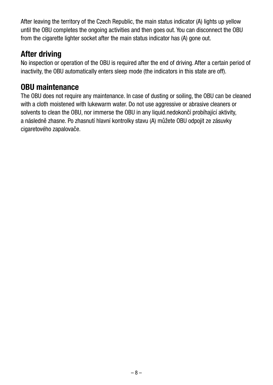After leaving the territory of the Czech Republic, the main status indicator (A) lights up yellow until the OBU completes the ongoing activities and then goes out. You can disconnect the OBU from the cigarette lighter socket after the main status indicator has (A) gone out.

#### After driving

No inspection or operation of the OBU is required after the end of driving. After a certain period of inactivity, the OBU automatically enters sleep mode (the indicators in this state are off).

#### OBU maintenance

The OBU does not require any maintenance. In case of dusting or soiling, the OBU can be cleaned with a cloth moistened with lukewarm water. Do not use aggressive or abrasive cleaners or solvents to clean the OBU, nor immerse the OBU in any liquid.nedokončí probíhající aktivity, a následně zhasne. Po zhasnutí hlavní kontrolky stavu (A) můžete OBU odpojit ze zásuvky cigaretového zapalovače.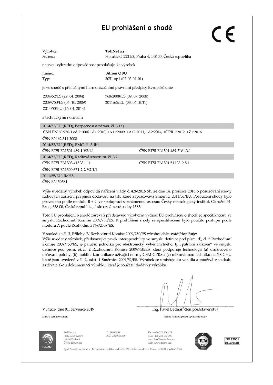#### EU prohlášení o shodě

| Výrobce: |
|----------|
| Adresa:  |

 $T_0$ llMat $\alpha$ e Holušická 2221/3, Praha 4, 148 00, Česká republika

na svou výhradní odpovědnost prohlašuje, že výrobek

Iméno: **Billien OBU** Tvp: 5051 op1 (02-03-01-01)

je ve shodě s příslušnými harmonizačními právními předpisy Evropské unie

| 2004/52/ES (29.04.2004)    | 768/2008/ES (09.07.2008)  |
|----------------------------|---------------------------|
| 2009/750/ES (06, 10, 2009) | 2011/65/EU (08, 06, 2011) |
| 2014/53/EU (16.04.2014)    |                           |

a technickými normami

2014/53/EU (RED). Bezpečnost a zdraví, čl. 3.1a) ČSN EN 60 950-1 ed.2:2006 +A1:2010. +A11:2009. +A12:2011. +A2:2014. +OPR.1:2012. +Z1:2016 ČSN EN 62.311:2008 2014/53/EU (RED), EMC, čl. 3.1b) ČSN ETSI EN 301 489-7 V1.3.1 ČSN ETSI EN 301 489-1 V2.1.1 2014/53/EU (RED), Radiové spectrum, čl. 3.2 ČSN ETSI EN 303 413 V1.1.1 ČSN FTSI FN 301 511 V12 5 1 ČSN ETSI EN 300 674-2-2 V2.1.1 2011/65/EU, RoHS ČSN EN 50581

Výše uvedený výrobek odpovídá nařízení vlády č. 426/2016 Sb. ze dne 14. prosince 2016 o posuzování shody rádiových zařízení při jejich dodávání na trh, které zapracovává Směrnici 2014/53/EU. Posouzení shody bylo provedeno podle modulu B + C ve spolupráci s oznámenou osobou: Český metrologický institut. Okružní 31. Brno, 638 00, Česká republika, číslo oznámené osoby 1383.

Toto EU prohlášení o shodě zároveň představuje výrobcem vydané EU prohlášení o shodě se specifikacemi ve smyslu Rozhodnutí Komise 2009/750/ES. K prohlášení shody se specifikacemi bylo použito postupu podle modulu A podle Rozhodnutí 768/2008/ES.

V souladu s čl. 3, Přílohy IV Rozhodnutí Komise 2009/750/ES výrobce dále uvádí/doplňuje:

Výše uvedený výrobek, představující prvek interoperability ve smyslu definice pod písm. d), čl. 2 Rozhodnutí Komise 2009/750/ES, je palubní jednotka pro elektronický výběr mýtného, tj. "palubní zařízení" ve smyslu definice pod písm. e), čl. 2 Rozhodnutí Komise 2009/750/ES, která podporuje technologii (a) družicového určovaní polohy, (b) mobilní komunikace užívající normy GSM-GPRS a (c) mikrovlnnou techniku na 5,8 GHz, které jsou uvedené v čl. 2, odst. 1 Směrnice 2004/52/ES. Výrobek se umisťuje do vozidla a používá v souladu s uživatelskou dokumentací výrobku, která je součástí dodávky výrobku.

V Praze, dne 01. července 2019

Misto a datum vystaven

Ing. Pavel Bednář/člen představenstva Jméno, funkce a podpis oprávněné osoby

TollNet a.s. Holidaya 2221/3 148 00 Praha 4 Česká republika IČ: 29055059 DIC-CZ29055059

Tel.: +420 272 656 178 Eav: 4420 222 650 295 e-mail: office(#tollnet.c) web: www.tollnet.cz



ISO 27001 *<u>CELBACERT</u>* 

C E

sána v obchodním rejstříku vedeném Městským soudem v Praze, oddíl B, vložka 16063.